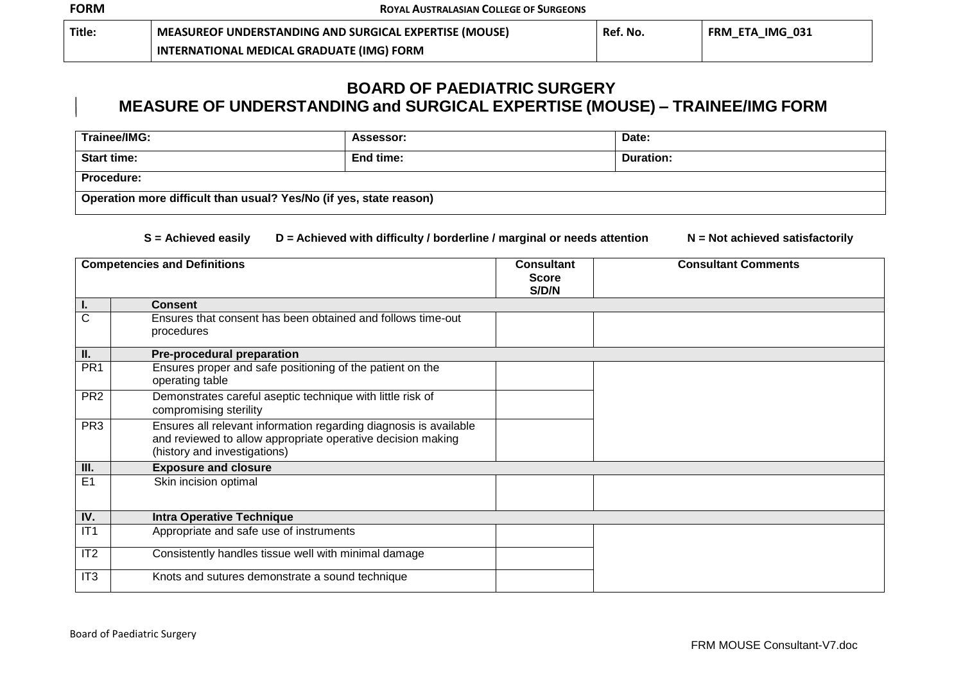| Title. | <b>MEASUREOF UNDERSTANDING AND SURGICAL EXPERTISE (MOUSE)</b> | Ref. No. | ETA IMG 031<br><b>FRM</b> |
|--------|---------------------------------------------------------------|----------|---------------------------|
|        | INTERNATIONAL MEDICAL GRADUATE (IMG) FORM                     |          |                           |

## **BOARD OF PAEDIATRIC SURGERY MEASURE OF UNDERSTANDING and SURGICAL EXPERTISE (MOUSE) – TRAINEE/IMG FORM**

| Trainee/IMG:                                                       | Assessor: | Date:            |
|--------------------------------------------------------------------|-----------|------------------|
| <b>Start time:</b>                                                 | End time: | <b>Duration:</b> |
| Procedure:                                                         |           |                  |
| Operation more difficult than usual? Yes/No (if yes, state reason) |           |                  |

## **S = Achieved easily D = Achieved with difficulty / borderline / marginal or needs attention N = Not achieved satisfactorily**

| <b>Competencies and Definitions</b> |                                                                                                                                                                  | <b>Consultant</b><br><b>Score</b><br>S/D/N | <b>Consultant Comments</b> |
|-------------------------------------|------------------------------------------------------------------------------------------------------------------------------------------------------------------|--------------------------------------------|----------------------------|
|                                     | <b>Consent</b>                                                                                                                                                   |                                            |                            |
| C                                   | Ensures that consent has been obtained and follows time-out<br>procedures                                                                                        |                                            |                            |
| II.                                 | <b>Pre-procedural preparation</b>                                                                                                                                |                                            |                            |
| PR <sub>1</sub>                     | Ensures proper and safe positioning of the patient on the<br>operating table                                                                                     |                                            |                            |
| PR <sub>2</sub>                     | Demonstrates careful aseptic technique with little risk of<br>compromising sterility                                                                             |                                            |                            |
| PR <sub>3</sub>                     | Ensures all relevant information regarding diagnosis is available<br>and reviewed to allow appropriate operative decision making<br>(history and investigations) |                                            |                            |
| Ш.                                  | <b>Exposure and closure</b>                                                                                                                                      |                                            |                            |
| E1                                  | Skin incision optimal                                                                                                                                            |                                            |                            |
| IV.                                 | <b>Intra Operative Technique</b>                                                                                                                                 |                                            |                            |
| IT1                                 | Appropriate and safe use of instruments                                                                                                                          |                                            |                            |
| IT2                                 | Consistently handles tissue well with minimal damage                                                                                                             |                                            |                            |
| IT <sub>3</sub>                     | Knots and sutures demonstrate a sound technique                                                                                                                  |                                            |                            |